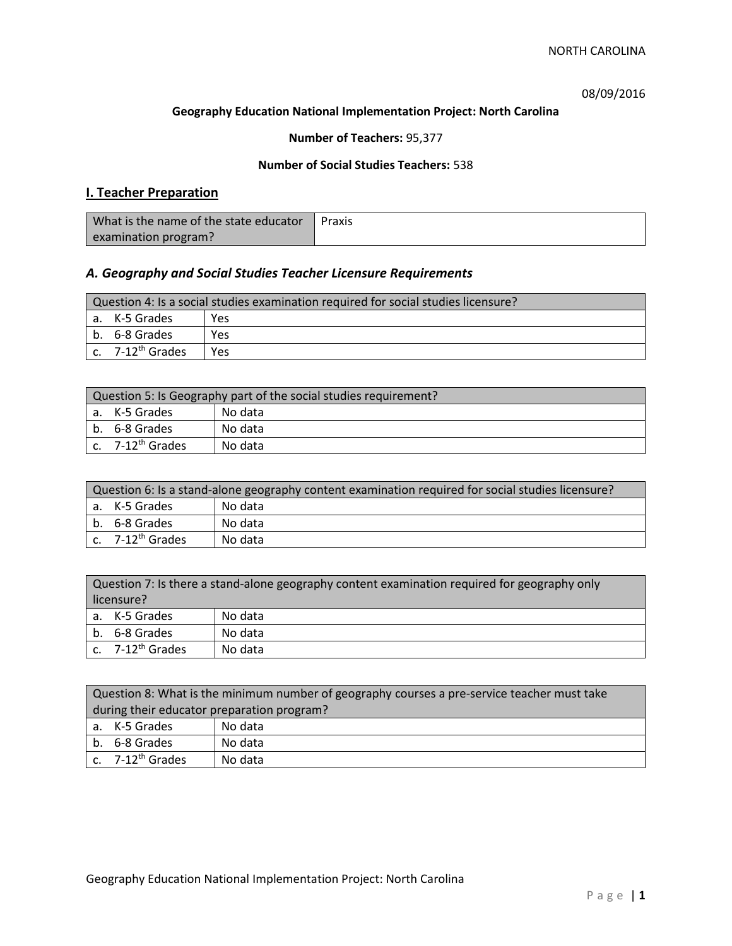08/09/2016

### **Geography Education National Implementation Project: North Carolina**

## **Number of Teachers:** 95,377

### **Number of Social Studies Teachers:** 538

# **I. Teacher Preparation**

| What is the name of the state educator | Praxis |
|----------------------------------------|--------|
| examination program?                   |        |

## *A. Geography and Social Studies Teacher Licensure Requirements*

| Question 4: Is a social studies examination required for social studies licensure? |                                         |     |
|------------------------------------------------------------------------------------|-----------------------------------------|-----|
|                                                                                    | a. K-5 Grades                           | Yes |
|                                                                                    | l b. 6-8 Grades                         | Yes |
|                                                                                    | $\mathsf{c.}$ 7-12 <sup>th</sup> Grades | Yes |

| Question 5: Is Geography part of the social studies requirement? |                              |         |  |
|------------------------------------------------------------------|------------------------------|---------|--|
|                                                                  | l a. K-5 Grades              | No data |  |
|                                                                  | b. 6-8 Grades                | No data |  |
|                                                                  | c. 7-12 <sup>th</sup> Grades | No data |  |

| Question 6: Is a stand-alone geography content examination required for social studies licensure? |         |  |  |
|---------------------------------------------------------------------------------------------------|---------|--|--|
| l a. K-5 Grades                                                                                   | No data |  |  |
| b. 6-8 Grades                                                                                     | No data |  |  |
| $c.$ 7-12 <sup>th</sup> Grades                                                                    | No data |  |  |

| Question 7: Is there a stand-alone geography content examination required for geography only<br>licensure? |         |  |
|------------------------------------------------------------------------------------------------------------|---------|--|
| a. K-5 Grades                                                                                              | No data |  |
| b. 6-8 Grades                                                                                              | No data |  |
| c. $7-12^{th}$ Grades                                                                                      | No data |  |

| Question 8: What is the minimum number of geography courses a pre-service teacher must take |         |  |
|---------------------------------------------------------------------------------------------|---------|--|
| during their educator preparation program?                                                  |         |  |
| a. K-5 Grades                                                                               | No data |  |
| b. 6-8 Grades                                                                               | No data |  |
| c. $7-12^{th}$ Grades                                                                       | No data |  |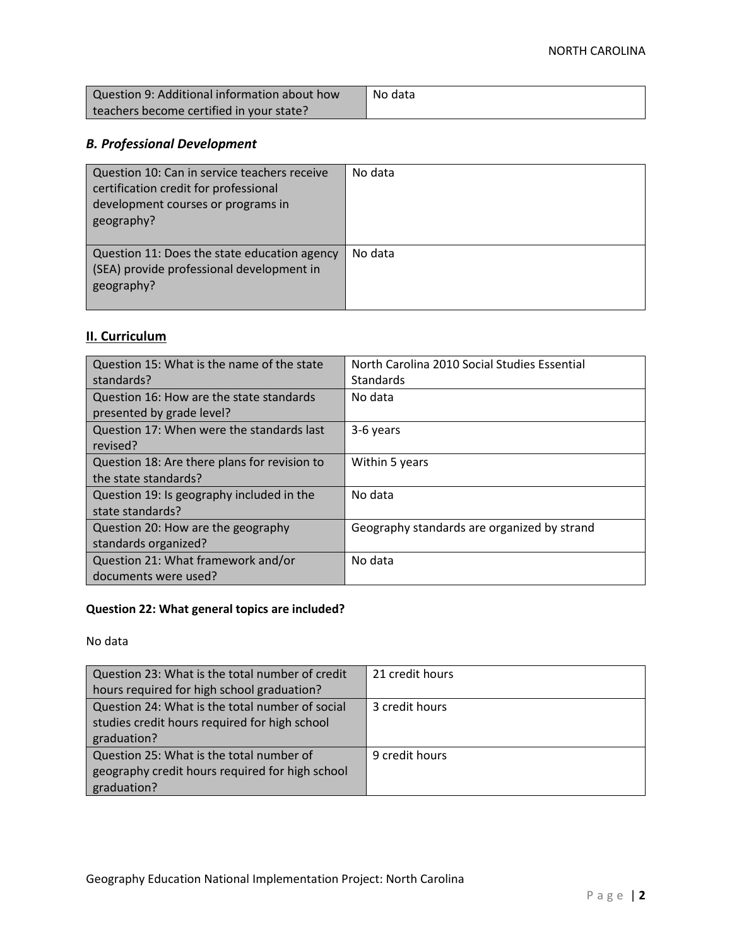| Question 9: Additional information about how | No data |
|----------------------------------------------|---------|
| teachers become certified in your state?     |         |

# *B. Professional Development*

| Question 10: Can in service teachers receive<br>certification credit for professional<br>development courses or programs in<br>geography? | No data |
|-------------------------------------------------------------------------------------------------------------------------------------------|---------|
| Question 11: Does the state education agency<br>(SEA) provide professional development in<br>geography?                                   | No data |

# **II. Curriculum**

| Question 15: What is the name of the state   | North Carolina 2010 Social Studies Essential |
|----------------------------------------------|----------------------------------------------|
| standards?                                   | Standards                                    |
| Question 16: How are the state standards     | No data                                      |
| presented by grade level?                    |                                              |
| Question 17: When were the standards last    | 3-6 years                                    |
| revised?                                     |                                              |
| Question 18: Are there plans for revision to | Within 5 years                               |
| the state standards?                         |                                              |
| Question 19: Is geography included in the    | No data                                      |
| state standards?                             |                                              |
| Question 20: How are the geography           | Geography standards are organized by strand  |
| standards organized?                         |                                              |
| Question 21: What framework and/or           | No data                                      |
| documents were used?                         |                                              |

# **Question 22: What general topics are included?**

No data

| Question 23: What is the total number of credit | 21 credit hours |
|-------------------------------------------------|-----------------|
| hours required for high school graduation?      |                 |
| Question 24: What is the total number of social | 3 credit hours  |
| studies credit hours required for high school   |                 |
| graduation?                                     |                 |
| Question 25: What is the total number of        | 9 credit hours  |
| geography credit hours required for high school |                 |
| graduation?                                     |                 |